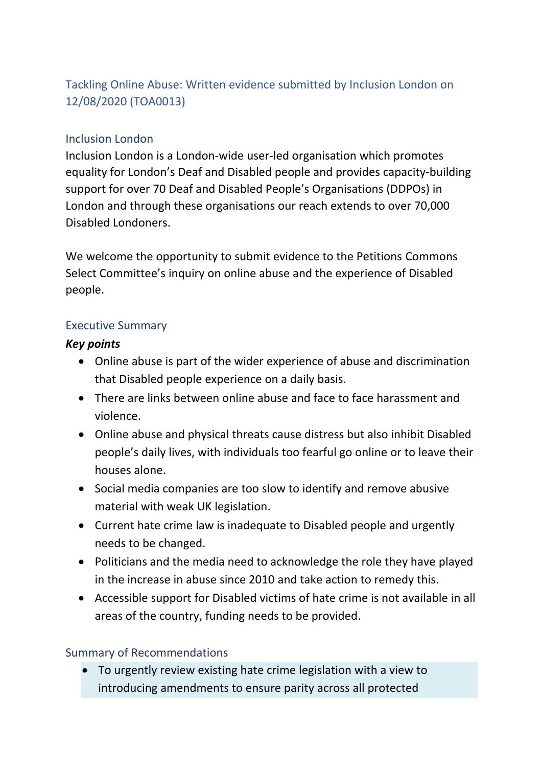# Tackling Online Abuse: Written evidence submitted by Inclusion London on 12/08/2020 (TOA0013)

#### Inclusion London

Inclusion London is a London-wide user-led organisation which promotes equality for London's Deaf and Disabled people and provides capacity-building support for over 70 Deaf and Disabled People's Organisations (DDPOs) in London and through these organisations our reach extends to over 70,000 Disabled Londoners.

We welcome the opportunity to submit evidence to the Petitions Commons Select Committee's inquiry on online abuse and the experience of Disabled people.

#### Executive Summary

#### *Key points*

- Online abuse is part of the wider experience of abuse and discrimination that Disabled people experience on a daily basis.
- There are links between online abuse and face to face harassment and violence.
- Online abuse and physical threats cause distress but also inhibit Disabled people's daily lives, with individuals too fearful go online or to leave their houses alone.
- Social media companies are too slow to identify and remove abusive material with weak UK legislation.
- Current hate crime law is inadequate to Disabled people and urgently needs to be changed.
- Politicians and the media need to acknowledge the role they have played in the increase in abuse since 2010 and take action to remedy this.
- Accessible support for Disabled victims of hate crime is not available in all areas of the country, funding needs to be provided.

## Summary of Recommendations

 To urgently review existing hate crime legislation with a view to introducing amendments to ensure parity across all protected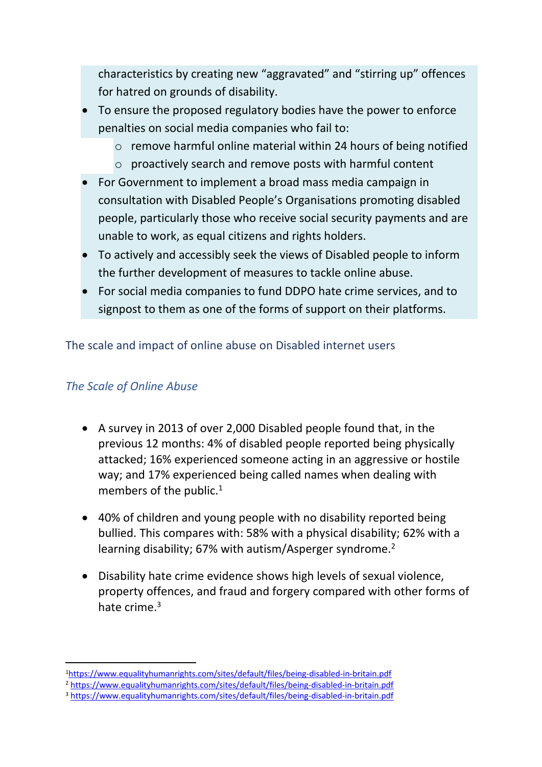characteristics by creating new "aggravated" and "stirring up" offences for hatred on grounds of disability.

- To ensure the proposed regulatory bodies have the power to enforce penalties on social media companies who fail to:
	- o remove harmful online material within 24 hours of being notified
	- o proactively search and remove posts with harmful content
- For Government to implement a broad mass media campaign in consultation with Disabled People's Organisations promoting disabled people, particularly those who receive social security payments and are unable to work, as equal citizens and rights holders.
- To actively and accessibly seek the views of Disabled people to inform the further development of measures to tackle online abuse.
- For social media companies to fund DDPO hate crime services, and to signpost to them as one of the forms of support on their platforms.

The scale and impact of online abuse on Disabled internet users

#### *The Scale of Online Abuse*

- A survey in 2013 of over 2,000 Disabled people found that, in the previous 12 months: 4% of disabled people reported being physically attacked; 16% experienced someone acting in an aggressive or hostile way; and 17% experienced being called names when dealing with members of the public.<sup>1</sup>
- 40% of children and young people with no disability reported being bullied. This compares with: 58% with a physical disability; 62% with a learning disability; 67% with autism/Asperger syndrome.<sup>2</sup>
- Disability hate crime evidence shows high levels of sexual violence, property offences, and fraud and forgery compared with other forms of hate crime.<sup>3</sup>

<sup>1</sup><https://www.equalityhumanrights.com/sites/default/files/being-disabled-in-britain.pdf>

<sup>2</sup> <https://www.equalityhumanrights.com/sites/default/files/being-disabled-in-britain.pdf>

<sup>3</sup> <https://www.equalityhumanrights.com/sites/default/files/being-disabled-in-britain.pdf>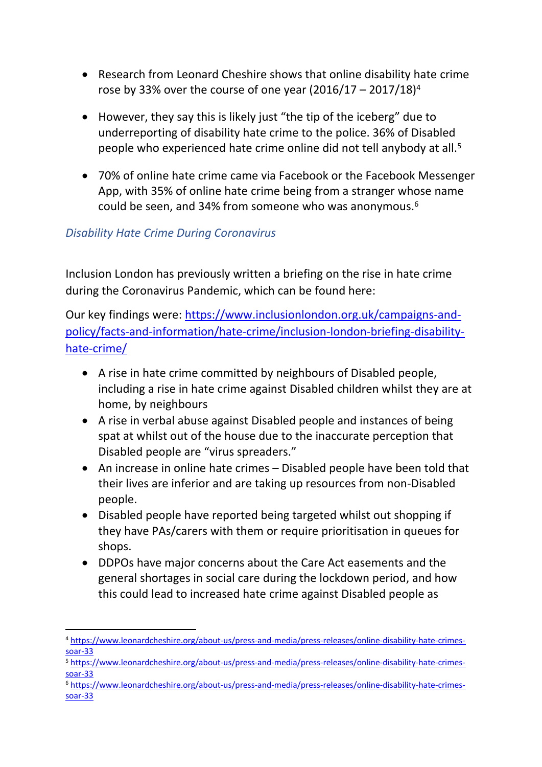- Research from Leonard Cheshire shows that online disability hate crime rose by 33% over the course of one year  $(2016/17 - 2017/18)^4$
- However, they say this is likely just "the tip of the iceberg" due to underreporting of disability hate crime to the police. 36% of Disabled people who experienced hate crime online did not tell anybody at all.<sup>5</sup>
- 70% of online hate crime came via Facebook or the Facebook Messenger App, with 35% of online hate crime being from a stranger whose name could be seen, and 34% from someone who was anonymous.<sup>6</sup>

# *Disability Hate Crime During Coronavirus*

Inclusion London has previously written a briefing on the rise in hate crime during the Coronavirus Pandemic, which can be found here:

Our key findings were: [https://www.inclusionlondon.org.uk/campaigns-and](https://www.inclusionlondon.org.uk/campaigns-and-policy/facts-and-information/hate-crime/inclusion-london-briefing-disability-hate-crime/)[policy/facts-and-information/hate-crime/inclusion-london-briefing-disability](https://www.inclusionlondon.org.uk/campaigns-and-policy/facts-and-information/hate-crime/inclusion-london-briefing-disability-hate-crime/)[hate-crime/](https://www.inclusionlondon.org.uk/campaigns-and-policy/facts-and-information/hate-crime/inclusion-london-briefing-disability-hate-crime/)

- A rise in hate crime committed by neighbours of Disabled people, including a rise in hate crime against Disabled children whilst they are at home, by neighbours
- A rise in verbal abuse against Disabled people and instances of being spat at whilst out of the house due to the inaccurate perception that Disabled people are "virus spreaders."
- An increase in online hate crimes Disabled people have been told that their lives are inferior and are taking up resources from non-Disabled people.
- Disabled people have reported being targeted whilst out shopping if they have PAs/carers with them or require prioritisation in queues for shops.
- DDPOs have major concerns about the Care Act easements and the general shortages in social care during the lockdown period, and how this could lead to increased hate crime against Disabled people as

<sup>4</sup> [https://www.leonardcheshire.org/about-us/press-and-media/press-releases/online-disability-hate-crimes](https://www.leonardcheshire.org/about-us/press-and-media/press-releases/online-disability-hate-crimes-soar-33)[soar-33](https://www.leonardcheshire.org/about-us/press-and-media/press-releases/online-disability-hate-crimes-soar-33)

<sup>5</sup> [https://www.leonardcheshire.org/about-us/press-and-media/press-releases/online-disability-hate-crimes](https://www.leonardcheshire.org/about-us/press-and-media/press-releases/online-disability-hate-crimes-soar-33)[soar-33](https://www.leonardcheshire.org/about-us/press-and-media/press-releases/online-disability-hate-crimes-soar-33)

<sup>6</sup> [https://www.leonardcheshire.org/about-us/press-and-media/press-releases/online-disability-hate-crimes](https://www.leonardcheshire.org/about-us/press-and-media/press-releases/online-disability-hate-crimes-soar-33)[soar-33](https://www.leonardcheshire.org/about-us/press-and-media/press-releases/online-disability-hate-crimes-soar-33)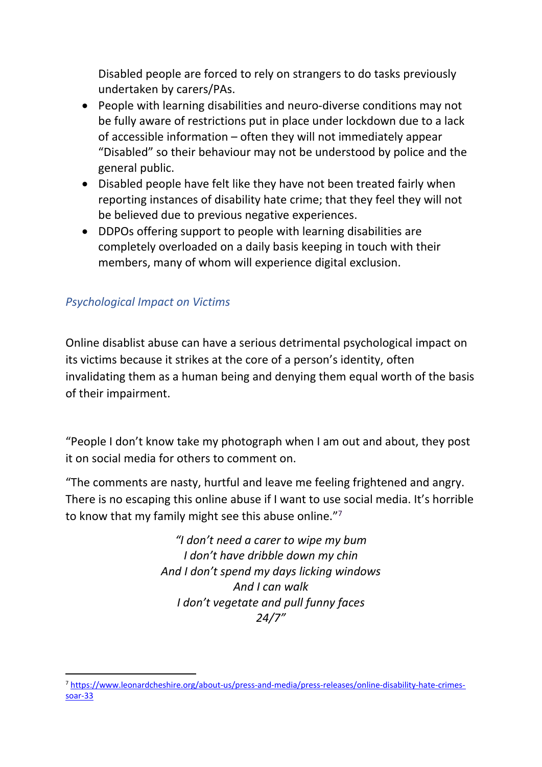Disabled people are forced to rely on strangers to do tasks previously undertaken by carers/PAs.

- People with learning disabilities and neuro-diverse conditions may not be fully aware of restrictions put in place under lockdown due to a lack of accessible information – often they will not immediately appear "Disabled" so their behaviour may not be understood by police and the general public.
- Disabled people have felt like they have not been treated fairly when reporting instances of disability hate crime; that they feel they will not be believed due to previous negative experiences.
- DDPOs offering support to people with learning disabilities are completely overloaded on a daily basis keeping in touch with their members, many of whom will experience digital exclusion.

## *Psychological Impact on Victims*

Online disablist abuse can have a serious detrimental psychological impact on its victims because it strikes at the core of a person's identity, often invalidating them as a human being and denying them equal worth of the basis of their impairment.

"People I don't know take my photograph when I am out and about, they post it on social media for others to comment on.

"The comments are nasty, hurtful and leave me feeling frightened and angry. There is no escaping this online abuse if I want to use social media. It's horrible to know that my family might see this abuse online."<sup>7</sup>

> *"I don't need a carer to wipe my bum I don't have dribble down my chin And I don't spend my days licking windows And I can walk I don't vegetate and pull funny faces 24/7"*

<sup>7</sup> [https://www.leonardcheshire.org/about-us/press-and-media/press-releases/online-disability-hate-crimes](https://www.leonardcheshire.org/about-us/press-and-media/press-releases/online-disability-hate-crimes-soar-33)[soar-33](https://www.leonardcheshire.org/about-us/press-and-media/press-releases/online-disability-hate-crimes-soar-33)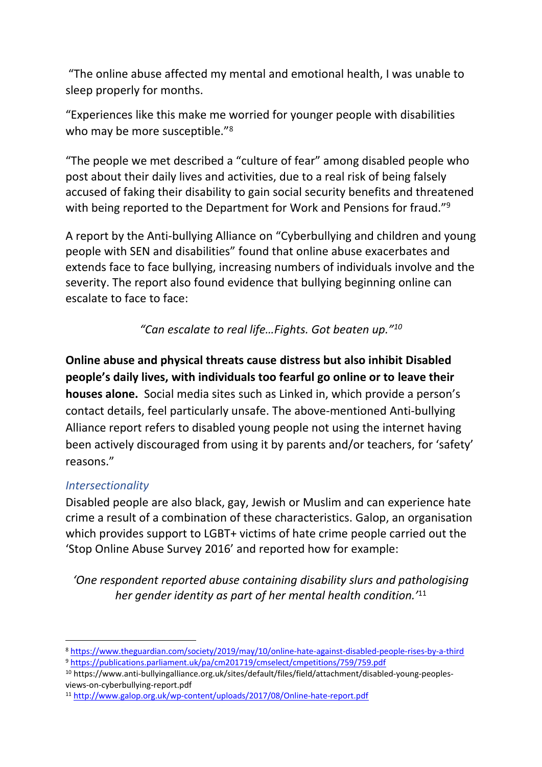"The online abuse affected my mental and emotional health, I was unable to sleep properly for months.

"Experiences like this make me worried for younger people with disabilities who may be more susceptible."<sup>8</sup>

"The people we met described a "culture of fear" among disabled people who post about their daily lives and activities, due to a real risk of being falsely accused of faking their disability to gain social security benefits and threatened with being reported to the Department for Work and Pensions for fraud."<sup>9</sup>

A report by the Anti-bullying Alliance on "Cyberbullying and children and young people with SEN and disabilities" found that online abuse exacerbates and extends face to face bullying, increasing numbers of individuals involve and the severity. The report also found evidence that bullying beginning online can escalate to face to face:

*"Can escalate to real life…Fights. Got beaten up."<sup>10</sup>*

**Online abuse and physical threats cause distress but also inhibit Disabled people's daily lives, with individuals too fearful go online or to leave their houses alone.** Social media sites such as Linked in, which provide a person's contact details, feel particularly unsafe. The above-mentioned Anti-bullying Alliance report refers to disabled young people not using the internet having been actively discouraged from using it by parents and/or teachers, for 'safety' reasons."

## *Intersectionality*

Disabled people are also black, gay, Jewish or Muslim and can experience hate crime a result of a combination of these characteristics. Galop, an organisation which provides support to LGBT+ victims of hate crime people carried out the 'Stop Online Abuse Survey 2016' and reported how for example:

*'One respondent reported abuse containing disability slurs and pathologising her gender identity as part of her mental health condition.'*<sup>11</sup>

<sup>8</sup> <https://www.theguardian.com/society/2019/may/10/online-hate-against-disabled-people-rises-by-a-third> <sup>9</sup> <https://publications.parliament.uk/pa/cm201719/cmselect/cmpetitions/759/759.pdf>

<sup>10</sup> https://www.anti-bullyingalliance.org.uk/sites/default/files/field/attachment/disabled-young-peoplesviews-on-cyberbullying-report.pdf

<sup>11</sup> <http://www.galop.org.uk/wp-content/uploads/2017/08/Online-hate-report.pdf>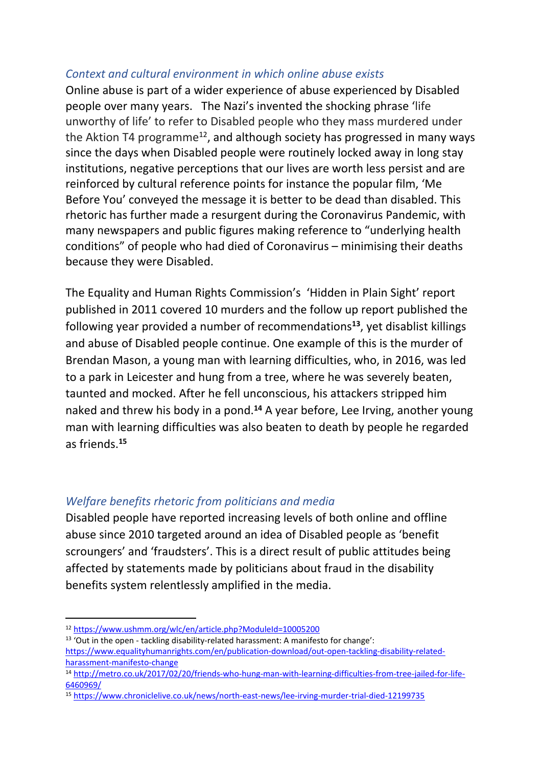## *Context and cultural environment in which online abuse exists*

Online abuse is part of a wider experience of abuse experienced by Disabled people over many years. The Nazi's invented the shocking phrase 'life unworthy of life' to refer to Disabled people who they mass murdered under the Aktion T4 programme<sup>12</sup>, and although society has progressed in many ways since the days when Disabled people were routinely locked away in long stay institutions, negative perceptions that our lives are worth less persist and are reinforced by cultural reference points for instance the popular film, 'Me Before You' conveyed the message it is better to be dead than disabled. This rhetoric has further made a resurgent during the Coronavirus Pandemic, with many newspapers and public figures making reference to "underlying health conditions" of people who had died of Coronavirus – minimising their deaths because they were Disabled.

The Equality and Human Rights Commission's 'Hidden in Plain Sight' report published in 2011 covered 10 murders and the follow up report published the following year provided a number of recommendations**<sup>13</sup>** , yet disablist killings and abuse of Disabled people continue. One example of this is the murder of Brendan Mason, a young man with learning difficulties, who, in 2016, was led to a park in Leicester and hung from a tree, where he was severely beaten, taunted and mocked. After he fell unconscious, his attackers stripped him naked and threw his body in a pond.**<sup>14</sup>** A year before, Lee Irving, another young man with learning difficulties was also beaten to death by people he regarded as friends.**<sup>15</sup>**

## *Welfare benefits rhetoric from politicians and media*

Disabled people have reported increasing levels of both online and offline abuse since 2010 targeted around an idea of Disabled people as 'benefit scroungers' and 'fraudsters'. This is a direct result of public attitudes being affected by statements made by politicians about fraud in the disability benefits system relentlessly amplified in the media.

<sup>12</sup> <https://www.ushmm.org/wlc/en/article.php?ModuleId=10005200>

<sup>13</sup> 'Out in the open - tackling disability-related harassment: A manifesto for change':

[https://www.equalityhumanrights.com/en/publication-download/out-open-tackling-disability-related](https://www.equalityhumanrights.com/en/publication-download/out-open-tackling-disability-related-harassment-manifesto-change)[harassment-manifesto-change](https://www.equalityhumanrights.com/en/publication-download/out-open-tackling-disability-related-harassment-manifesto-change)

<sup>14</sup> [http://metro.co.uk/2017/02/20/friends-who-hung-man-with-learning-difficulties-from-tree-jailed-for-life-](http://metro.co.uk/2017/02/20/friends-who-hung-man-with-learning-difficulties-from-tree-jailed-for-life-6460969/)[6460969/](http://metro.co.uk/2017/02/20/friends-who-hung-man-with-learning-difficulties-from-tree-jailed-for-life-6460969/)

<sup>15</sup> <https://www.chroniclelive.co.uk/news/north-east-news/lee-irving-murder-trial-died-12199735>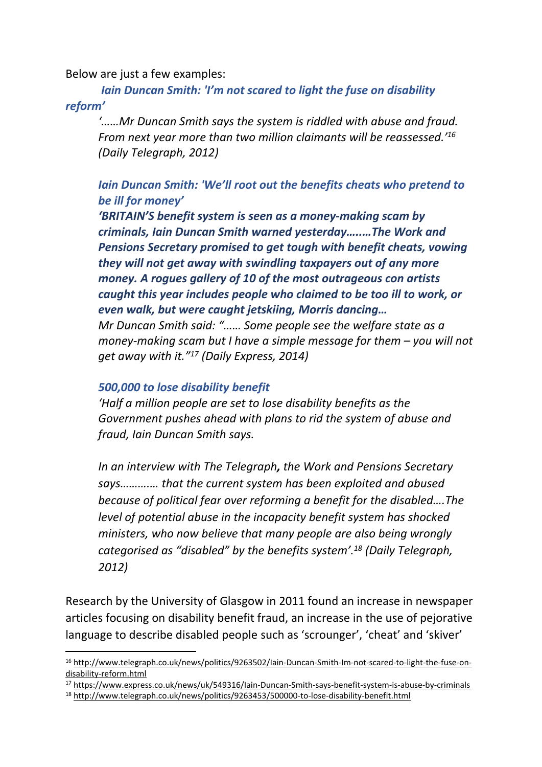Below are just a few examples:

*Iain Duncan Smith: 'I'm not scared to light the fuse on disability reform'*

*'……Mr Duncan Smith says the system is riddled with abuse and fraud. From next year more than two million claimants will be reassessed.'<sup>16</sup> (Daily Telegraph, 2012)*

## *Iain Duncan Smith: 'We'll root out the benefits cheats who pretend to be ill for money'*

*'BRITAIN'S benefit system is seen as a money-making scam by criminals, Iain Duncan Smith warned yesterday…..…The Work and Pensions Secretary promised to get tough with benefit cheats, vowing they will not get away with swindling taxpayers out of any more money. A rogues gallery of 10 of the most outrageous con artists caught this year includes people who claimed to be too ill to work, or even walk, but were caught jetskiing, Morris dancing…*

*Mr Duncan Smith said: "…… Some people see the welfare state as a money-making scam but I have a simple message for them – you will not get away with it."<sup>17</sup> (Daily Express, 2014)*

#### *500,000 to lose disability benefit*

*'Half a million people are set to lose disability benefits as the Government pushes ahead with plans to rid the system of abuse and fraud, Iain Duncan Smith says.*

*[In](http://www.telegraph.co.uk/news/politics/9263502/Iain-Duncan-Smith-Im-not-scared-to-light-the-fuse-on-disability-reform.html) [an](http://www.telegraph.co.uk/news/politics/9263502/Iain-Duncan-Smith-Im-not-scared-to-light-the-fuse-on-disability-reform.html) [interview](http://www.telegraph.co.uk/news/politics/9263502/Iain-Duncan-Smith-Im-not-scared-to-light-the-fuse-on-disability-reform.html) [with](http://www.telegraph.co.uk/news/politics/9263502/Iain-Duncan-Smith-Im-not-scared-to-light-the-fuse-on-disability-reform.html) [The](http://www.telegraph.co.uk/news/politics/9263502/Iain-Duncan-Smith-Im-not-scared-to-light-the-fuse-on-disability-reform.html) [Telegraph](http://www.telegraph.co.uk/news/politics/9263502/Iain-Duncan-Smith-Im-not-scared-to-light-the-fuse-on-disability-reform.html), the Work and Pensions Secretary says……….… that the current system has been exploited and abused because of political fear over reforming a benefit for the disabled….The level of potential abuse in the incapacity benefit system has shocked ministers, who now believe that many people are also being wrongly categorised as "disabled" by the benefits system'.<sup>18</sup> (Daily Telegraph, 2012)*

Research by the University of Glasgow in 2011 found an increase in newspaper articles focusing on disability benefit fraud, an increase in the use of pejorative language to describe disabled people such as 'scrounger', 'cheat' and 'skiver'

<sup>17</sup> <https://www.express.co.uk/news/uk/549316/Iain-Duncan-Smith-says-benefit-system-is-abuse-by-criminals>

<sup>16</sup> [http://www.telegraph.co.uk/news/politics/9263502/Iain-Duncan-Smith-Im-not-scared-to-light-the-fuse-on](http://www.telegraph.co.uk/news/politics/9263502/Iain-Duncan-Smith-Im-not-scared-to-light-the-fuse-on-disability-reform.html)[disability-reform.html](http://www.telegraph.co.uk/news/politics/9263502/Iain-Duncan-Smith-Im-not-scared-to-light-the-fuse-on-disability-reform.html)

<sup>18</sup> <http://www.telegraph.co.uk/news/politics/9263453/500000-to-lose-disability-benefit.html>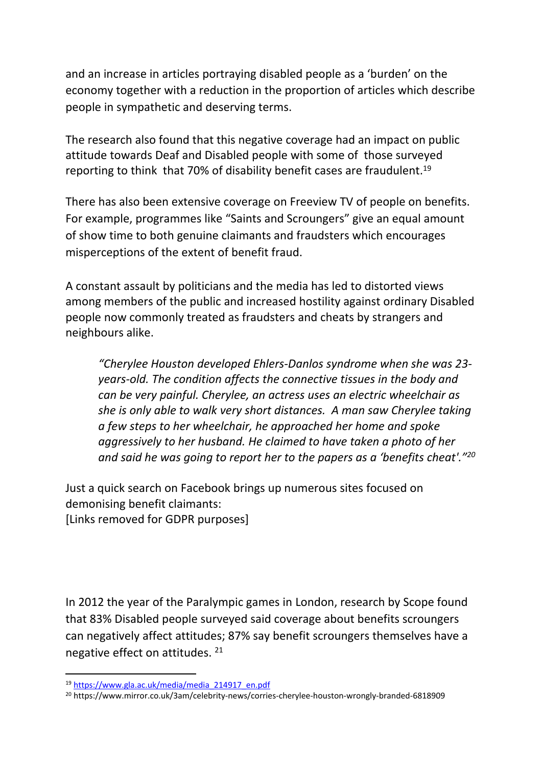and an increase in articles portraying disabled people as a 'burden' on the economy together with a reduction in the proportion of articles which describe people in sympathetic and deserving terms.

The research also found that this negative coverage had an impact on public attitude towards Deaf and Disabled people with some of those surveyed reporting to think that 70% of disability benefit cases are fraudulent.<sup>19</sup>

There has also been extensive coverage on Freeview TV of people on benefits. For example, programmes like "Saints and Scroungers" give an equal amount of show time to both genuine claimants and fraudsters which encourages misperceptions of the extent of benefit fraud.

A constant assault by politicians and the media has led to distorted views among members of the public and increased hostility against ordinary Disabled people now commonly treated as fraudsters and cheats by strangers and neighbours alike.

*"Cherylee Houston developed Ehlers-Danlos syndrome when she was 23 years-old. The condition affects the connective tissues in the body and can be very painful. Cherylee, an actress uses an electric wheelchair as she is only able to walk very short distances. A man saw Cherylee taking a few steps to her wheelchair, he approached her home and spoke aggressively to her husband. He claimed to have taken a photo of her and said he was going to report her to the papers as a 'benefits cheat'."<sup>20</sup>*

Just a quick search on Facebook brings up numerous sites focused on demonising benefit claimants: [Links removed for GDPR purposes]

In 2012 the year of the Paralympic games in London, research by Scope found that 83% Disabled people surveyed said coverage about benefits scroungers can negatively affect attitudes; 87% say benefit scroungers themselves have a negative effect on attitudes. <sup>21</sup>

<sup>19</sup> [https://www.gla.ac.uk/media/media\\_214917\\_en.pdf](https://www.gla.ac.uk/media/media_214917_en.pdf)

<sup>20</sup> https://www.mirror.co.uk/3am/celebrity-news/corries-cherylee-houston-wrongly-branded-6818909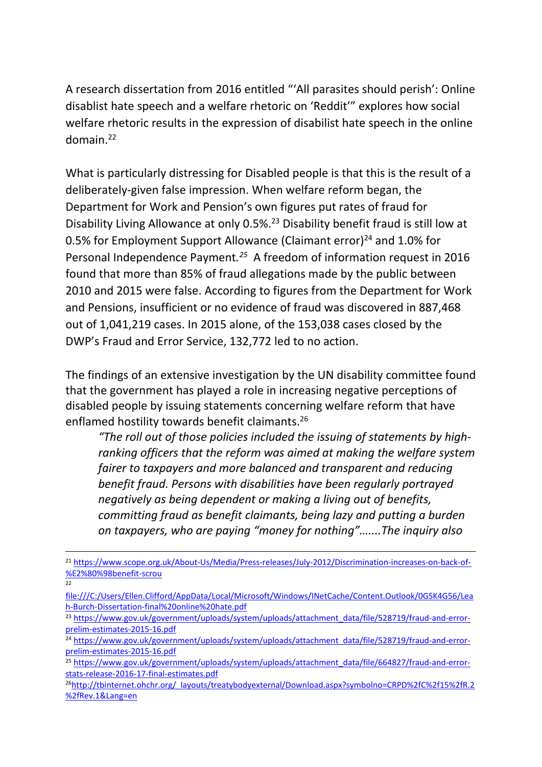A research dissertation from 2016 entitled "'All parasites should perish': Online disablist hate speech and a welfare rhetoric on 'Reddit'" explores how social welfare rhetoric results in the expression of disabilist hate speech in the online domain.<sup>22</sup>

What is particularly distressing for Disabled people is that this is the result of a deliberately-given false impression. When welfare reform began, the Department for Work and Pension's own figures put rates of fraud for Disability Living Allowance at only 0.5%.<sup>23</sup> Disability benefit fraud is still low at 0.5% for Employment Support Allowance (Claimant error)<sup>24</sup> and 1.0% for Personal Independence Payment*. <sup>25</sup>* A freedom of information request in 2016 found that more than 85% of fraud allegations made by the public between 2010 and 2015 were false. According to figures from the Department for Work and Pensions, insufficient or no evidence of fraud was discovered in 887,468 out of 1,041,219 cases. In 2015 alone, of the 153,038 cases closed by the DWP's Fraud and Error Service, 132,772 led to no action.

The findings of an extensive investigation by the UN disability committee found that the government has played a role in increasing negative perceptions of disabled people by issuing statements concerning welfare reform that have enflamed hostility towards benefit claimants.<sup>26</sup>

*"The roll out of those policies included the issuing of statements by highranking officers that the reform was aimed at making the welfare system fairer to taxpayers and more balanced and transparent and reducing benefit fraud. Persons with disabilities have been regularly portrayed negatively as being dependent or making a living out of benefits, committing fraud as benefit claimants, being lazy and putting a burden on taxpayers, who are paying "money for nothing"…....The inquiry also*

 $22$ 

<sup>21</sup> [https://www.scope.org.uk/About-Us/Media/Press-releases/July-2012/Discrimination-increases-on-back-of-](https://www.scope.org.uk/About-Us/Media/Press-releases/July-2012/Discrimination-increases-on-back-of-%E2%80%98benefit-scrou) [%E2%80%98benefit-scrou](https://www.scope.org.uk/About-Us/Media/Press-releases/July-2012/Discrimination-increases-on-back-of-%E2%80%98benefit-scrou)

[file:///C:/Users/Ellen.Clifford/AppData/Local/Microsoft/Windows/INetCache/Content.Outlook/0GSK4G56/Lea](file://inclusionserver/Public/Ellen.Clifford/AppData/Local/Microsoft/Windows/INetCache/Content.Outlook/0GSK4G56/Leah-Burch-Dissertation-final%20online%20hate.pdf) [h-Burch-Dissertation-final%20online%20hate.pdf](file://inclusionserver/Public/Ellen.Clifford/AppData/Local/Microsoft/Windows/INetCache/Content.Outlook/0GSK4G56/Leah-Burch-Dissertation-final%20online%20hate.pdf)

<sup>&</sup>lt;sup>23</sup> [https://www.gov.uk/government/uploads/system/uploads/attachment\\_data/file/528719/fraud-and-error](https://www.gov.uk/government/uploads/system/uploads/attachment_data/file/528719/fraud-and-error-prelim-estimates-2015-16.pdf)[prelim-estimates-2015-16.pdf](https://www.gov.uk/government/uploads/system/uploads/attachment_data/file/528719/fraud-and-error-prelim-estimates-2015-16.pdf)

<sup>&</sup>lt;sup>24</sup> [https://www.gov.uk/government/uploads/system/uploads/attachment\\_data/file/528719/fraud-and-error](https://www.gov.uk/government/uploads/system/uploads/attachment_data/file/528719/fraud-and-error-prelim-estimates-2015-16.pdf)[prelim-estimates-2015-16.pdf](https://www.gov.uk/government/uploads/system/uploads/attachment_data/file/528719/fraud-and-error-prelim-estimates-2015-16.pdf)

<sup>&</sup>lt;sup>25</sup> [https://www.gov.uk/government/uploads/system/uploads/attachment\\_data/file/664827/fraud-and-error](https://www.gov.uk/government/uploads/system/uploads/attachment_data/file/664827/fraud-and-error-stats-release-2016-17-final-estimates.pdf)[stats-release-2016-17-final-estimates.pdf](https://www.gov.uk/government/uploads/system/uploads/attachment_data/file/664827/fraud-and-error-stats-release-2016-17-final-estimates.pdf)

<sup>26</sup>[http://tbinternet.ohchr.org/\\_layouts/treatybodyexternal/Download.aspx?symbolno=CRPD%2fC%2f15%2fR.2](http://tbinternet.ohchr.org/_layouts/treatybodyexternal/Download.aspx?symbolno=CRPD%2fC%2f15%2fR.2%2fRev.1&Lang=en) [%2fRev.1&Lang=en](http://tbinternet.ohchr.org/_layouts/treatybodyexternal/Download.aspx?symbolno=CRPD%2fC%2f15%2fR.2%2fRev.1&Lang=en)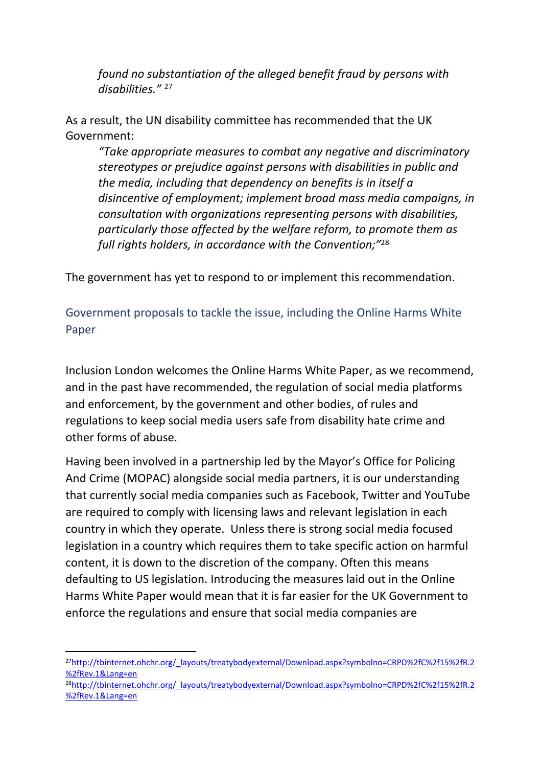*found no substantiation of the alleged benefit fraud by persons with disabilities."* <sup>27</sup>

As a result, the UN disability committee has recommended that the UK Government:

*"Take appropriate measures to combat any negative and discriminatory stereotypes or prejudice against persons with disabilities in public and the media, including that dependency on benefits is in itself a disincentive of employment; implement broad mass media campaigns, in consultation with organizations representing persons with disabilities, particularly those affected by the welfare reform, to promote them as full rights holders, in accordance with the Convention;"*<sup>28</sup>

The government has yet to respond to or implement this recommendation.

Government proposals to tackle the issue, including the Online Harms White Paper

Inclusion London welcomes the Online Harms White Paper, as we recommend, and in the past have recommended, the regulation of social media platforms and enforcement, by the government and other bodies, of rules and regulations to keep social media users safe from disability hate crime and other forms of abuse.

Having been involved in a partnership led by the Mayor's Office for Policing And Crime (MOPAC) alongside social media partners, it is our understanding that currently social media companies such as Facebook, Twitter and YouTube are required to comply with licensing laws and relevant legislation in each country in which they operate. Unless there is strong social media focused legislation in a country which requires them to take specific action on harmful content, it is down to the discretion of the company. Often this means defaulting to US legislation. Introducing the measures laid out in the Online Harms White Paper would mean that it is far easier for the UK Government to enforce the regulations and ensure that social media companies are

<sup>&</sup>lt;sup>27</sup>[http://tbinternet.ohchr.org/\\_layouts/treatybodyexternal/Download.aspx?symbolno=CRPD%2fC%2f15%2fR.2](http://tbinternet.ohchr.org/_layouts/treatybodyexternal/Download.aspx?symbolno=CRPD%2fC%2f15%2fR.2%2fRev.1&Lang=en) [%2fRev.1&Lang=en](http://tbinternet.ohchr.org/_layouts/treatybodyexternal/Download.aspx?symbolno=CRPD%2fC%2f15%2fR.2%2fRev.1&Lang=en)

<sup>&</sup>lt;sup>28</sup>[http://tbinternet.ohchr.org/\\_layouts/treatybodyexternal/Download.aspx?symbolno=CRPD%2fC%2f15%2fR.2](http://tbinternet.ohchr.org/_layouts/treatybodyexternal/Download.aspx?symbolno=CRPD%2fC%2f15%2fR.2%2fRev.1&Lang=en) [%2fRev.1&Lang=en](http://tbinternet.ohchr.org/_layouts/treatybodyexternal/Download.aspx?symbolno=CRPD%2fC%2f15%2fR.2%2fRev.1&Lang=en)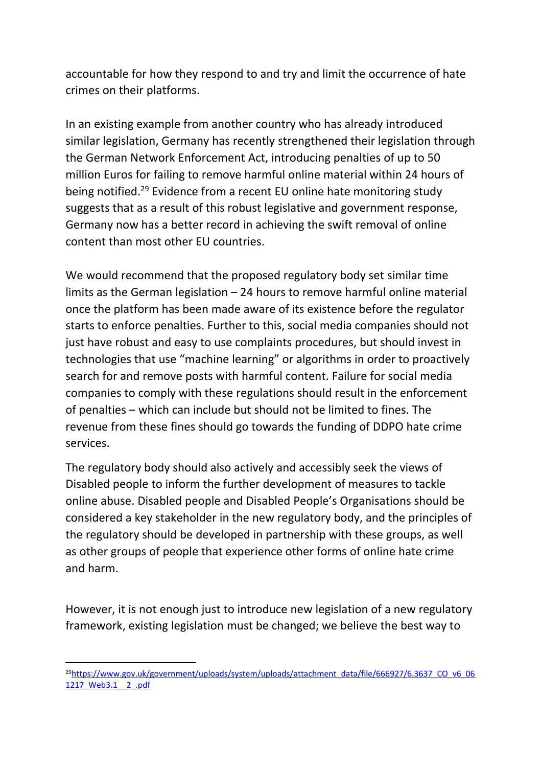accountable for how they respond to and try and limit the occurrence of hate crimes on their platforms.

In an existing example from another country who has already introduced similar legislation, Germany has recently strengthened their legislation through the German Network Enforcement Act, introducing penalties of up to 50 million Euros for failing to remove harmful online material within 24 hours of being notified.<sup>29</sup> Evidence from a recent EU online hate monitoring study suggests that as a result of this robust legislative and government response, Germany now has a better record in achieving the swift removal of online content than most other EU countries.

We would recommend that the proposed regulatory body set similar time limits as the German legislation – 24 hours to remove harmful online material once the platform has been made aware of its existence before the regulator starts to enforce penalties. Further to this, social media companies should not just have robust and easy to use complaints procedures, but should invest in technologies that use "machine learning" or algorithms in order to proactively search for and remove posts with harmful content. Failure for social media companies to comply with these regulations should result in the enforcement of penalties – which can include but should not be limited to fines. The revenue from these fines should go towards the funding of DDPO hate crime services.

The regulatory body should also actively and accessibly seek the views of Disabled people to inform the further development of measures to tackle online abuse. Disabled people and Disabled People's Organisations should be considered a key stakeholder in the new regulatory body, and the principles of the regulatory should be developed in partnership with these groups, as well as other groups of people that experience other forms of online hate crime and harm.

However, it is not enough just to introduce new legislation of a new regulatory framework, existing legislation must be changed; we believe the best way to

<sup>&</sup>lt;sup>29</sup>[https://www.gov.uk/government/uploads/system/uploads/attachment\\_data/file/666927/6.3637\\_CO\\_v6\\_06](https://www.gov.uk/government/uploads/system/uploads/attachment_data/file/666927/6.3637_CO_v6_061217_Web3.1__2_.pdf) [1217\\_Web3.1\\_\\_2\\_.pdf](https://www.gov.uk/government/uploads/system/uploads/attachment_data/file/666927/6.3637_CO_v6_061217_Web3.1__2_.pdf)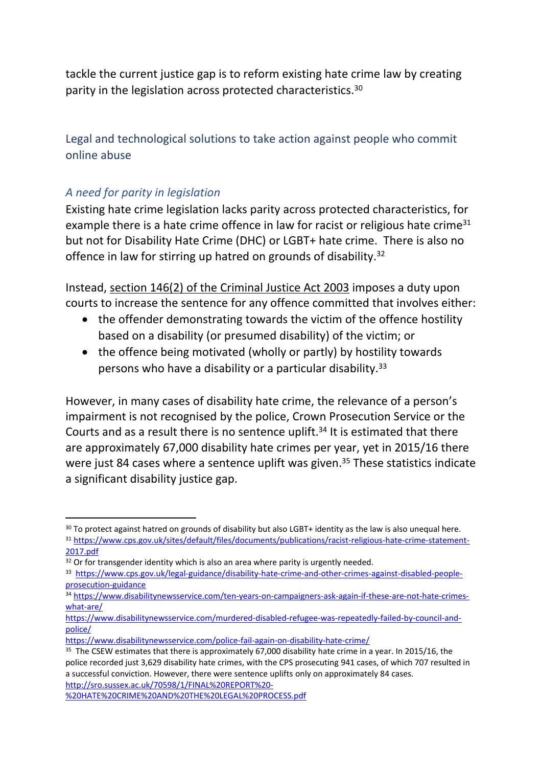tackle the current justice gap is to reform existing hate crime law by creating parity in the legislation across protected characteristics.<sup>30</sup>

Legal and technological solutions to take action against people who commit online abuse

# *A need for parity in legislation*

Existing hate crime legislation lacks parity across protected characteristics, for example there is a hate crime offence in law for racist or religious hate crime<sup>31</sup> but not for Disability Hate Crime (DHC) or LGBT+ hate crime. There is also no offence in law for stirring up hatred on grounds of disability.<sup>32</sup>

Instead, [section](https://www.legislation.gov.uk/ukpga/2003/44/section/146) [146\(2\)](https://www.legislation.gov.uk/ukpga/2003/44/section/146) [of](https://www.legislation.gov.uk/ukpga/2003/44/section/146) [the](https://www.legislation.gov.uk/ukpga/2003/44/section/146) [Criminal](https://www.legislation.gov.uk/ukpga/2003/44/section/146) [Justice](https://www.legislation.gov.uk/ukpga/2003/44/section/146) [Act](https://www.legislation.gov.uk/ukpga/2003/44/section/146) [2003](https://www.legislation.gov.uk/ukpga/2003/44/section/146) imposes a duty upon courts to increase the sentence for any offence committed that involves either:

- the offender demonstrating towards the victim of the offence hostility based on a disability (or presumed disability) of the victim; or
- the offence being motivated (wholly or partly) by hostility towards persons who have a disability or a particular disability.<sup>33</sup>

However, in many cases of disability hate crime, the relevance of a person's impairment is not recognised by the police, Crown Prosecution Service or the Courts and as a result there is no sentence uplift.<sup>34</sup> It is estimated that there are approximately 67,000 disability hate crimes per year, yet in 2015/16 there were just 84 cases where a sentence uplift was given.<sup>35</sup> These statistics indicate a significant disability justice gap.

<sup>&</sup>lt;sup>30</sup> To protect against hatred on grounds of disability but also LGBT+ identity as the law is also unequal here.

<sup>31</sup> [https://www.cps.gov.uk/sites/default/files/documents/publications/racist-religious-hate-crime-statement-](https://www.cps.gov.uk/sites/default/files/documents/publications/racist-religious-hate-crime-statement-2017.pdf)[2017.pdf](https://www.cps.gov.uk/sites/default/files/documents/publications/racist-religious-hate-crime-statement-2017.pdf)

<sup>&</sup>lt;sup>32</sup> Or for transgender identity which is also an area where parity is urgently needed.

<sup>33</sup> [https://www.cps.gov.uk/legal-guidance/disability-hate-crime-and-other-crimes-against-disabled-people](https://www.cps.gov.uk/legal-guidance/disability-hate-crime-and-other-crimes-against-disabled-people-prosecution-guidance)[prosecution-guidance](https://www.cps.gov.uk/legal-guidance/disability-hate-crime-and-other-crimes-against-disabled-people-prosecution-guidance)

<sup>34</sup> [https://www.disabilitynewsservice.com/ten-years-on-campaigners-ask-again-if-these-are-not-hate-crimes](https://www.disabilitynewsservice.com/ten-years-on-campaigners-ask-again-if-these-are-not-hate-crimes-what-are/)[what-are/](https://www.disabilitynewsservice.com/ten-years-on-campaigners-ask-again-if-these-are-not-hate-crimes-what-are/)

[https://www.disabilitynewsservice.com/murdered-disabled-refugee-was-repeatedly-failed-by-council-and](https://www.disabilitynewsservice.com/murdered-disabled-refugee-was-repeatedly-failed-by-council-and-police/)[police/](https://www.disabilitynewsservice.com/murdered-disabled-refugee-was-repeatedly-failed-by-council-and-police/)

<https://www.disabilitynewsservice.com/police-fail-again-on-disability-hate-crime/>

<sup>&</sup>lt;sup>35</sup> The CSEW estimates that there is approximately 67,000 disability hate crime in a year. In 2015/16, the police recorded just 3,629 disability hate crimes, with the CPS prosecuting 941 cases, of which 707 resulted in a successful conviction. However, there were sentence uplifts only on approximately 84 cases. [http://sro.sussex.ac.uk/70598/1/FINAL%20REPORT%20-](http://sro.sussex.ac.uk/70598/1/FINAL%20REPORT%20-%20HATE%20CRIME%20AND%20THE%20LEGAL%20PROCESS.pdf)

[<sup>%20</sup>HATE%20CRIME%20AND%20THE%20LEGAL%20PROCESS.pdf](http://sro.sussex.ac.uk/70598/1/FINAL%20REPORT%20-%20HATE%20CRIME%20AND%20THE%20LEGAL%20PROCESS.pdf)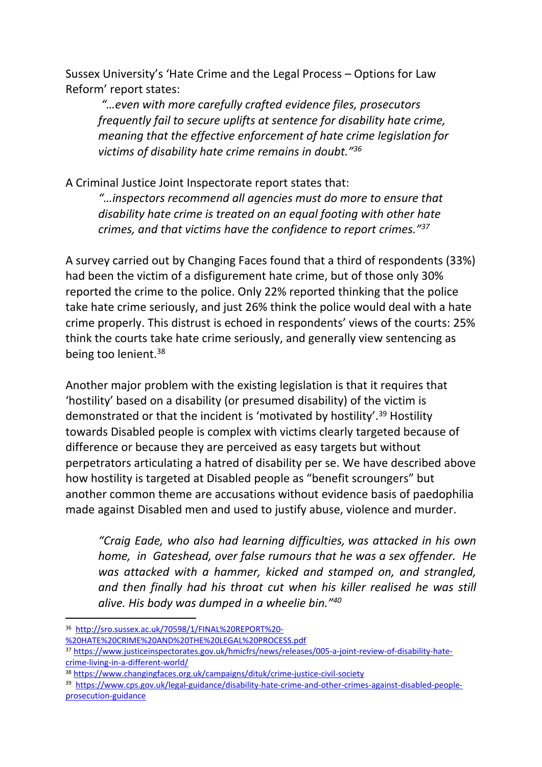Sussex University's 'Hate Crime and the Legal Process – Options for Law Reform' report states:

*"…even with more carefully crafted evidence files, prosecutors frequently fail to secure uplifts at sentence for disability hate crime, meaning that the effective enforcement of hate crime legislation for victims of disability hate crime remains in doubt."<sup>36</sup>*

A Criminal Justice Joint Inspectorate report states that:

*"…inspectors recommend all agencies must do more to ensure that disability hate crime is treated on an equal footing with other hate crimes, and that victims have the confidence to report crimes."<sup>37</sup>*

A survey carried out by Changing Faces found that a third of respondents (33%) had been the victim of a disfigurement hate crime, but of those only 30% reported the crime to the police. Only 22% reported thinking that the police take hate crime seriously, and just 26% think the police would deal with a hate crime properly. This distrust is echoed in respondents' views of the courts: 25% think the courts take hate crime seriously, and generally view sentencing as being too lenient.<sup>38</sup>

Another major problem with the existing legislation is that it requires that 'hostility' based on a disability (or presumed disability) of the victim is demonstrated or that the incident is 'motivated by hostility'.<sup>39</sup> Hostility towards Disabled people is complex with victims clearly targeted because of difference or because they are perceived as easy targets but without perpetrators articulating a hatred of disability per se. We have described above how hostility is targeted at Disabled people as "benefit scroungers" but another common theme are accusations without evidence basis of paedophilia made against Disabled men and used to justify abuse, violence and murder.

*"Craig Eade, who also had learning difficulties, was attacked in his own home, in Gateshead, over false rumours that he was a sex offender. He was attacked with a hammer, kicked and stamped on, and strangled, and then finally had his throat cut when his killer realised he was still alive. His body was dumped in a wheelie bin."<sup>40</sup>*

<sup>36</sup> [http://sro.sussex.ac.uk/70598/1/FINAL%20REPORT%20-](http://sro.sussex.ac.uk/70598/1/FINAL%20REPORT%20-%20HATE%20CRIME%20AND%20THE%20LEGAL%20PROCESS.pdf)

[<sup>%20</sup>HATE%20CRIME%20AND%20THE%20LEGAL%20PROCESS.pdf](http://sro.sussex.ac.uk/70598/1/FINAL%20REPORT%20-%20HATE%20CRIME%20AND%20THE%20LEGAL%20PROCESS.pdf) 

<sup>37</sup> [https://www.justiceinspectorates.gov.uk/hmicfrs/news/releases/005-a-joint-review-of-disability-hate](https://www.justiceinspectorates.gov.uk/hmicfrs/news/releases/005-a-joint-review-of-disability-hate-crime-living-in-a-different-world/)[crime-living-in-a-different-world/](https://www.justiceinspectorates.gov.uk/hmicfrs/news/releases/005-a-joint-review-of-disability-hate-crime-living-in-a-different-world/)

<sup>38</sup> <https://www.changingfaces.org.uk/campaigns/dituk/crime-justice-civil-society>

<sup>39</sup> [https://www.cps.gov.uk/legal-guidance/disability-hate-crime-and-other-crimes-against-disabled-people](https://www.cps.gov.uk/legal-guidance/disability-hate-crime-and-other-crimes-against-disabled-people-prosecution-guidance)[prosecution-guidance](https://www.cps.gov.uk/legal-guidance/disability-hate-crime-and-other-crimes-against-disabled-people-prosecution-guidance)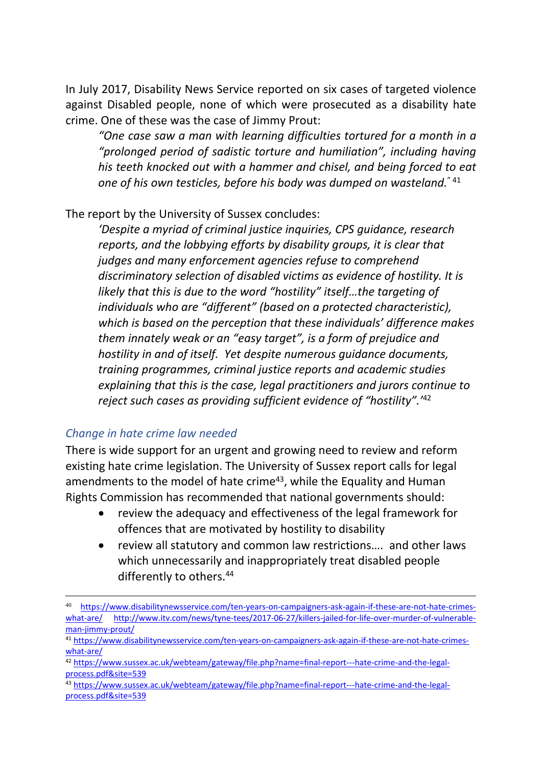In July 2017, Disability News Service reported on six cases of targeted violence against Disabled people, none of which were prosecuted as a disability hate crime. One of these was the case of Jimmy Prout:

*"One case saw a man with learning difficulties tortured for a month in a "prolonged period of sadistic torture and humiliation", including having his teeth knocked out with a hammer and chisel, and being forced to eat one of his own testicles, before his body was dumped on wasteland.*" <sup>41</sup>

The report by the University of Sussex concludes:

*'Despite a myriad of criminal justice inquiries, CPS guidance, research reports, and the lobbying efforts by disability groups, it is clear that judges and many enforcement agencies refuse to comprehend discriminatory selection of disabled victims as evidence of hostility. It is likely that this is due to the word "hostility" itself…the targeting of individuals who are "different" (based on a protected characteristic), which is based on the perception that these individuals' difference makes them innately weak or an "easy target", is a form of prejudice and hostility in and of itself. Yet despite numerous guidance documents, training programmes, criminal justice reports and academic studies explaining that this is the case, legal practitioners and jurors continue to reject such cases as providing sufficient evidence of "hostility".'*<sup>42</sup>

#### *Change in hate crime law needed*

There is wide support for an urgent and growing need to review and reform existing hate crime legislation. The University of Sussex report calls for legal amendments to the model of hate crime<sup>43</sup>, while the Equality and Human Rights Commission has recommended that national governments should:

- review the adequacy and effectiveness of the legal framework for offences that are motivated by hostility to disability
- review all statutory and common law restrictions…. and other laws which unnecessarily and inappropriately treat disabled people differently to others.<sup>44</sup>

<sup>40</sup> [https://www.disabilitynewsservice.com/ten-years-on-campaigners-ask-again-if-these-are-not-hate-crimes](https://www.disabilitynewsservice.com/ten-years-on-campaigners-ask-again-if-these-are-not-hate-crimes-what-are/)[what-are/](https://www.disabilitynewsservice.com/ten-years-on-campaigners-ask-again-if-these-are-not-hate-crimes-what-are/) [http://www.itv.com/news/tyne-tees/2017-06-27/killers-jailed-for-life-over-murder-of-vulnerable](http://www.itv.com/news/tyne-tees/2017-06-27/killers-jailed-for-life-over-murder-of-vulnerable-man-jimmy-prout/)[man-jimmy-prout/](http://www.itv.com/news/tyne-tees/2017-06-27/killers-jailed-for-life-over-murder-of-vulnerable-man-jimmy-prout/) 

<sup>41</sup> [https://www.disabilitynewsservice.com/ten-years-on-campaigners-ask-again-if-these-are-not-hate-crimes](https://www.disabilitynewsservice.com/ten-years-on-campaigners-ask-again-if-these-are-not-hate-crimes-what-are/)[what-are/](https://www.disabilitynewsservice.com/ten-years-on-campaigners-ask-again-if-these-are-not-hate-crimes-what-are/)

<sup>42</sup> [https://www.sussex.ac.uk/webteam/gateway/file.php?name=final-report---hate-crime-and-the-legal](https://www.sussex.ac.uk/webteam/gateway/file.php?name=final-report---hate-crime-and-the-legal-process.pdf&site=539)[process.pdf&site=539](https://www.sussex.ac.uk/webteam/gateway/file.php?name=final-report---hate-crime-and-the-legal-process.pdf&site=539)

<sup>43</sup> [https://www.sussex.ac.uk/webteam/gateway/file.php?name=final-report---hate-crime-and-the-legal](https://www.sussex.ac.uk/webteam/gateway/file.php?name=final-report---hate-crime-and-the-legal-process.pdf&site=539)[process.pdf&site=539](https://www.sussex.ac.uk/webteam/gateway/file.php?name=final-report---hate-crime-and-the-legal-process.pdf&site=539)